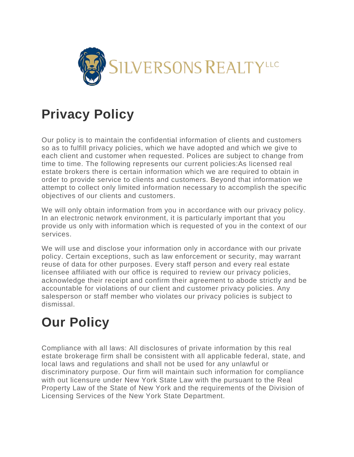

## **Privacy Policy**

Our policy is to maintain the confidential information of clients and customers so as to fulfill privacy policies, which we have adopted and which we give to each client and customer when requested. Polices are subject to change from time to time. The following represents our current policies:As licensed real estate brokers there is certain information which we are required to obtain in order to provide service to clients and customers. Beyond that information we attempt to collect only limited information necessary to accomplish the specific objectives of our clients and customers.

We will only obtain information from you in accordance with our privacy policy. In an electronic network environment, it is particularly important that you provide us only with information which is requested of you in the context of our services.

We will use and disclose your information only in accordance with our private policy. Certain exceptions, such as law enforcement or security, may warrant reuse of data for other purposes. Every staff person and every real estate licensee affiliated with our office is required to review our privacy policies, acknowledge their receipt and confirm their agreement to abode strictly and be accountable for violations of our client and customer privacy policies. Any salesperson or staff member who violates our privacy policies is subject to dismissal.

## **Our Policy**

Compliance with all laws: All disclosures of private information by this real estate brokerage firm shall be consistent with all applicable federal, state, and local laws and regulations and shall not be used for any unlawful or discriminatory purpose. Our firm will maintain such information for compliance with out licensure under New York State Law with the pursuant to the Real Property Law of the State of New York and the requirements of the Division of Licensing Services of the New York State Department.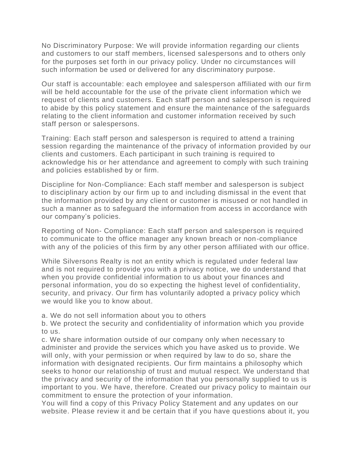No Discriminatory Purpose: We will provide information regarding our clients and customers to our staff members, licensed salespersons and to others only for the purposes set forth in our privacy policy. Under no circumstances will such information be used or delivered for any discriminatory purpose.

Our staff is accountable: each employee and salesperson affiliated with our firm will be held accountable for the use of the private client information which we request of clients and customers. Each staff person and salesperson is required to abide by this policy statement and ensure the maintenance of the safeguards relating to the client information and customer information received by such staff person or salespersons.

Training: Each staff person and salesperson is required to attend a training session regarding the maintenance of the privacy of information provided by our clients and customers. Each participant in such training is required to acknowledge his or her attendance and agreement to comply with such training and policies established by or firm.

Discipline for Non-Compliance: Each staff member and salesperson is subject to disciplinary action by our firm up to and including dismissal in the event that the information provided by any client or customer is misused or not handled in such a manner as to safeguard the information from access in accordance with our company's policies.

Reporting of Non- Compliance: Each staff person and salesperson is required to communicate to the office manager any known breach or non-compliance with any of the policies of this firm by any other person affiliated with our office.

While Silversons Realty is not an entity which is regulated under federal law and is not required to provide you with a privacy notice, we do understand that when you provide confidential information to us about your finances and personal information, you do so expecting the highest level of confidentiality, security, and privacy. Our firm has voluntarily adopted a privacy policy which we would like you to know about.

a. We do not sell information about you to others

b. We protect the security and confidentiality of information which you provide to us.

c. We share information outside of our company only when necessary to administer and provide the services which you have asked us to provide. We will only, with your permission or when required by law to do so, share the information with designated recipients. Our firm maintains a philosophy which seeks to honor our relationship of trust and mutual respect. We understand that the privacy and security of the information that you personally supplied to us is important to you. We have, therefore. Created our privacy policy to maintain our commitment to ensure the protection of your information.

You will find a copy of this Privacy Policy Statement and any updates on our website. Please review it and be certain that if you have questions about it, you